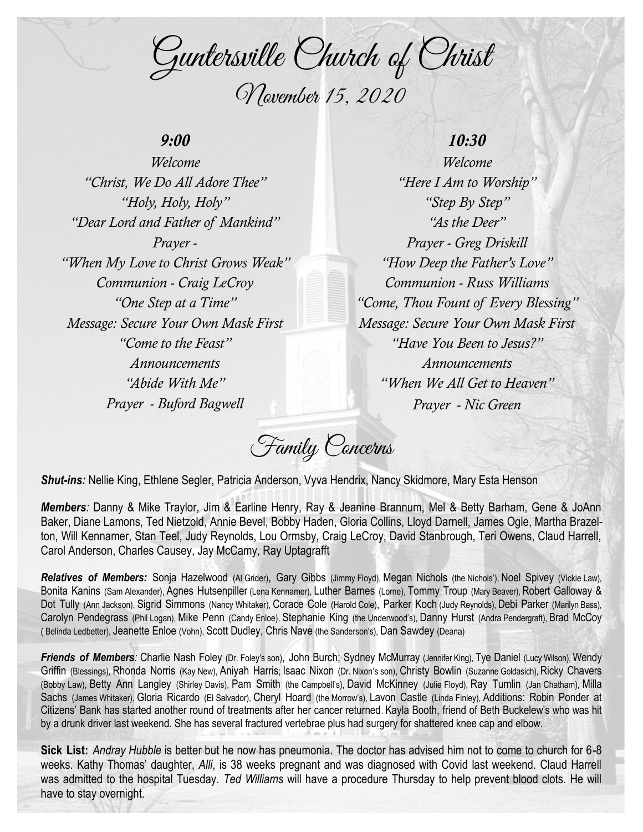Guntersville Church of Christ November 15, 2020

### *9:00*

*Welcome "Christ, We Do All Adore Thee" "Holy, Holy, Holy" "Dear Lord and Father of Mankind" Prayer - "When My Love to Christ Grows Weak" Communion - Craig LeCroy "One Step at a Time" Message: Secure Your Own Mask First "Come to the Feast" Announcements "Abide With Me" Prayer - Buford Bagwell*

## *10:30*

*Welcome "Here I Am to Worship" "Step By Step" "As the Deer" Prayer - Greg Driskill "How Deep the Father's Love" Communion - Russ Williams "Come, Thou Fount of Every Blessing" Message: Secure Your Own Mask First "Have You Been to Jesus?" Announcements "When We All Get to Heaven" Prayer - Nic Green*

Family Concerns

*Shut-ins:* Nellie King, Ethlene Segler, Patricia Anderson, Vyva Hendrix, Nancy Skidmore, Mary Esta Henson

*Members:* Danny & Mike Traylor, Jim & Earline Henry, Ray & Jeanine Brannum, Mel & Betty Barham, Gene & JoAnn Baker, Diane Lamons, Ted Nietzold, Annie Bevel, Bobby Haden, Gloria Collins, Lloyd Darnell, James Ogle, Martha Brazelton, Will Kennamer, Stan Teel, Judy Reynolds, Lou Ormsby, Craig LeCroy, David Stanbrough, Teri Owens, Claud Harrell, Carol Anderson, Charles Causey, Jay McCamy, Ray Uptagrafft

*Relatives of Members:* Sonja Hazelwood (Al Grider), Gary Gibbs (Jimmy Floyd), Megan Nichols (the Nichols'), Noel Spivey (Vickie Law), Bonita Kanins (Sam Alexander), Agnes Hutsenpiller (Lena Kennamer), Luther Barnes (Lorne), Tommy Troup (Mary Beaver), Robert Galloway & Dot Tully (Ann Jackson), Sigrid Simmons (Nancy Whitaker), Corace Cole (Harold Cole), Parker Koch (Judy Reynolds), Debi Parker (Marilyn Bass), Carolyn Pendegrass (Phil Logan), Mike Penn (Candy Enloe), Stephanie King (the Underwood's), Danny Hurst (Andra Pendergraft), Brad McCoy ( Belinda Ledbetter), Jeanette Enloe (Vohn), Scott Dudley, Chris Nave (the Sanderson's), Dan Sawdey (Deana)

*Friends of Members:* Charlie Nash Foley (Dr. Foley's son), John Burch; Sydney McMurray (Jennifer King), Tye Daniel (Lucy Wilson), Wendy Griffin (Blessings), Rhonda Norris (Kay New), Aniyah Harris; Isaac Nixon (Dr. Nixon's son), Christy Bowlin (Suzanne Goldasich), Ricky Chavers (Bobby Law), Betty Ann Langley (Shirley Davis), Pam Smith (the Campbell's), David McKinney (Julie Floyd), Ray Tumlin (Jan Chatham), Milla Sachs (James Whitaker), Gloria Ricardo (El Salvador), Cheryl Hoard (the Morrow's), Lavon Castle (Linda Finley), Additions: Robin Ponder at Citizens' Bank has started another round of treatments after her cancer returned. Kayla Booth, friend of Beth Buckelew's who was hit by a drunk driver last weekend. She has several fractured vertebrae plus had surgery for shattered knee cap and elbow.

**Sick List:** *Andray Hubble* is better but he now has pneumonia. The doctor has advised him not to come to church for 6-8 weeks. Kathy Thomas' daughter, *Alli*, is 38 weeks pregnant and was diagnosed with Covid last weekend. Claud Harrell was admitted to the hospital Tuesday. *Ted Williams* will have a procedure Thursday to help prevent blood clots. He will have to stay overnight.